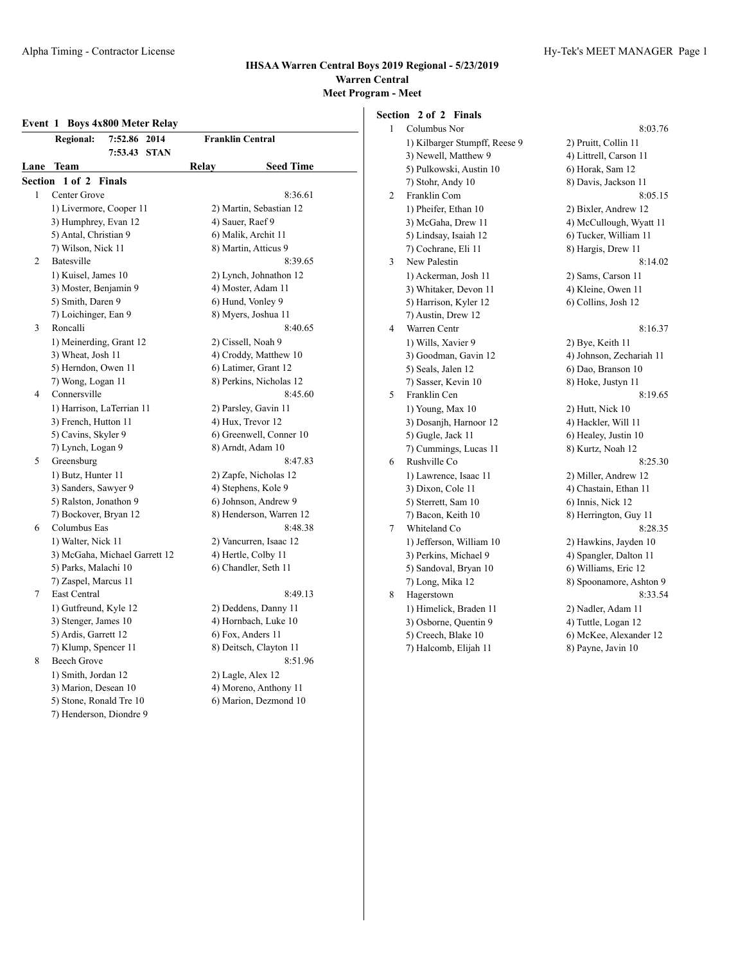#### **Event 1 Boys 4x800 Meter Relay**

|                | Regional:<br>7:52.86<br>2014<br>7:53.43<br><b>STAN</b> | <b>Franklin Central</b>   |  |  |
|----------------|--------------------------------------------------------|---------------------------|--|--|
|                | Lane Team                                              | Relay<br><b>Seed Time</b> |  |  |
| Section        | 1 of 2<br><b>Finals</b>                                |                           |  |  |
| 1              | Center Grove                                           | 8:36.61                   |  |  |
|                | 1) Livermore, Cooper 11                                | 2) Martin, Sebastian 12   |  |  |
|                | 3) Humphrey, Evan 12                                   | 4) Sauer, Raef 9          |  |  |
|                | 5) Antal, Christian 9                                  | 6) Malik, Archit 11       |  |  |
|                | 7) Wilson, Nick 11                                     | 8) Martin, Atticus 9      |  |  |
| $\overline{c}$ | Batesville                                             | 8:39.65                   |  |  |
|                | 1) Kuisel, James 10                                    | 2) Lynch, Johnathon 12    |  |  |
|                | 3) Moster, Benjamin 9                                  | 4) Moster, Adam 11        |  |  |
|                | 5) Smith, Daren 9                                      | 6) Hund, Vonley 9         |  |  |
|                | 7) Loichinger, Ean 9                                   | 8) Myers, Joshua 11       |  |  |
| 3              | Roncalli                                               | 8:40.65                   |  |  |
|                | 1) Meinerding, Grant 12                                | 2) Cissell, Noah 9        |  |  |
|                | 3) Wheat, Josh 11                                      | 4) Croddy, Matthew 10     |  |  |
|                | 5) Herndon, Owen 11                                    | 6) Latimer, Grant 12      |  |  |
|                | 7) Wong, Logan 11                                      | 8) Perkins, Nicholas 12   |  |  |
| $\overline{4}$ | Connersville                                           | 8:45.60                   |  |  |
|                | 1) Harrison, LaTerrian 11                              | 2) Parsley, Gavin 11      |  |  |
|                | 3) French, Hutton 11                                   | 4) Hux, Trevor 12         |  |  |
|                | 5) Cavins, Skyler 9                                    | 6) Greenwell, Conner 10   |  |  |
|                | 7) Lynch, Logan 9                                      | 8) Arndt, Adam 10         |  |  |
| 5              | Greensburg                                             | 8:47.83                   |  |  |
|                | 1) Butz, Hunter 11                                     | 2) Zapfe, Nicholas 12     |  |  |
|                | 3) Sanders, Sawyer 9                                   | 4) Stephens, Kole 9       |  |  |
|                | 5) Ralston, Jonathon 9                                 | 6) Johnson, Andrew 9      |  |  |
|                | 7) Bockover, Bryan 12                                  | 8) Henderson, Warren 12   |  |  |
| 6              | Columbus Eas                                           | 8:48.38                   |  |  |
|                | 1) Walter, Nick 11                                     | 2) Vancurren, Isaac 12    |  |  |
|                | 3) McGaha, Michael Garrett 12                          | 4) Hertle, Colby 11       |  |  |
|                | 5) Parks, Malachi 10                                   | 6) Chandler, Seth 11      |  |  |
|                | 7) Zaspel, Marcus 11                                   |                           |  |  |
| 7              | East Central                                           | 8:49.13                   |  |  |
|                | 1) Gutfreund, Kyle 12                                  | 2) Deddens, Danny 11      |  |  |
|                | 3) Stenger, James 10                                   | 4) Hornbach, Luke 10      |  |  |
|                | 5) Ardis, Garrett 12                                   | 6) Fox, Anders 11         |  |  |
|                | 7) Klump, Spencer 11                                   | 8) Deitsch, Clayton 11    |  |  |
| 8              | <b>Beech Grove</b>                                     | 8:51.96                   |  |  |
|                | 1) Smith, Jordan 12                                    | 2) Lagle, Alex 12         |  |  |
|                | 3) Marion, Desean 10                                   | 4) Moreno, Anthony 11     |  |  |
|                | 5) Stone, Ronald Tre 10                                | 6) Marion, Dezmond 10     |  |  |
|                | 7) Henderson, Diondre 9                                |                           |  |  |

# **Section 2 of 2 Finals**

| 1 | Columbus Nor                  | 8:03.76                  |
|---|-------------------------------|--------------------------|
|   | 1) Kilbarger Stumpff, Reese 9 | 2) Pruitt, Collin 11     |
|   | 3) Newell, Matthew 9          | 4) Littrell, Carson 11   |
|   | 5) Pulkowski, Austin 10       | 6) Horak, Sam 12         |
|   | 7) Stohr, Andy 10             | 8) Davis, Jackson 11     |
| 2 | Franklin Com                  | 8:05.15                  |
|   | 1) Pheifer, Ethan 10          | 2) Bixler, Andrew 12     |
|   | 3) McGaha, Drew 11            | 4) McCullough, Wyatt 11  |
|   | 5) Lindsay, Isaiah 12         | 6) Tucker, William 11    |
|   | 7) Cochrane, Eli 11           | 8) Hargis, Drew 11       |
| 3 | New Palestin                  | 8:14.02                  |
|   | 1) Ackerman, Josh 11          | 2) Sams, Carson 11       |
|   | 3) Whitaker, Devon 11         | 4) Kleine, Owen 11       |
|   | 5) Harrison, Kyler 12         | 6) Collins, Josh 12      |
|   | 7) Austin, Drew 12            |                          |
| 4 | Warren Centr                  | 8:16.37                  |
|   | 1) Wills, Xavier 9            | 2) Bye, Keith 11         |
|   | 3) Goodman, Gavin 12          | 4) Johnson, Zechariah 11 |
|   | 5) Seals, Jalen 12            | 6) Dao, Branson 10       |
|   | 7) Sasser, Kevin 10           | 8) Hoke, Justyn 11       |
| 5 | Franklin Cen                  | 8:19.65                  |
|   | 1) Young, Max 10              | 2) Hutt, Nick 10         |
|   | 3) Dosanjh, Harnoor 12        | 4) Hackler, Will 11      |
|   | 5) Gugle, Jack 11             | 6) Healey, Justin 10     |
|   | 7) Cummings, Lucas 11         | 8) Kurtz, Noah 12        |
| 6 | Rushville Co                  | 8:25.30                  |
|   | 1) Lawrence, Isaac 11         | 2) Miller, Andrew 12     |
|   | 3) Dixon, Cole 11             | 4) Chastain, Ethan 11    |
|   | 5) Sterrett, Sam 10           | 6) Innis, Nick 12        |
|   | 7) Bacon, Keith 10            | 8) Herrington, Guy 11    |
| 7 | Whiteland Co                  | 8:28.35                  |
|   | 1) Jefferson, William 10      | 2) Hawkins, Jayden 10    |
|   | 3) Perkins, Michael 9         | 4) Spangler, Dalton 11   |
|   | 5) Sandoval, Bryan 10         | 6) Williams, Eric 12     |
|   | 7) Long, Mika 12              | 8) Spoonamore, Ashton 9  |
| 8 | Hagerstown                    | 8:33.54                  |
|   | 1) Himelick, Braden 11        | 2) Nadler, Adam 11       |
|   | 3) Osborne, Quentin 9         | 4) Tuttle, Logan 12      |
|   | 5) Creech, Blake 10           | 6) McKee, Alexander 12   |
|   |                               |                          |

7) Halcomb, Elijah 11 8) Payne, Javin 10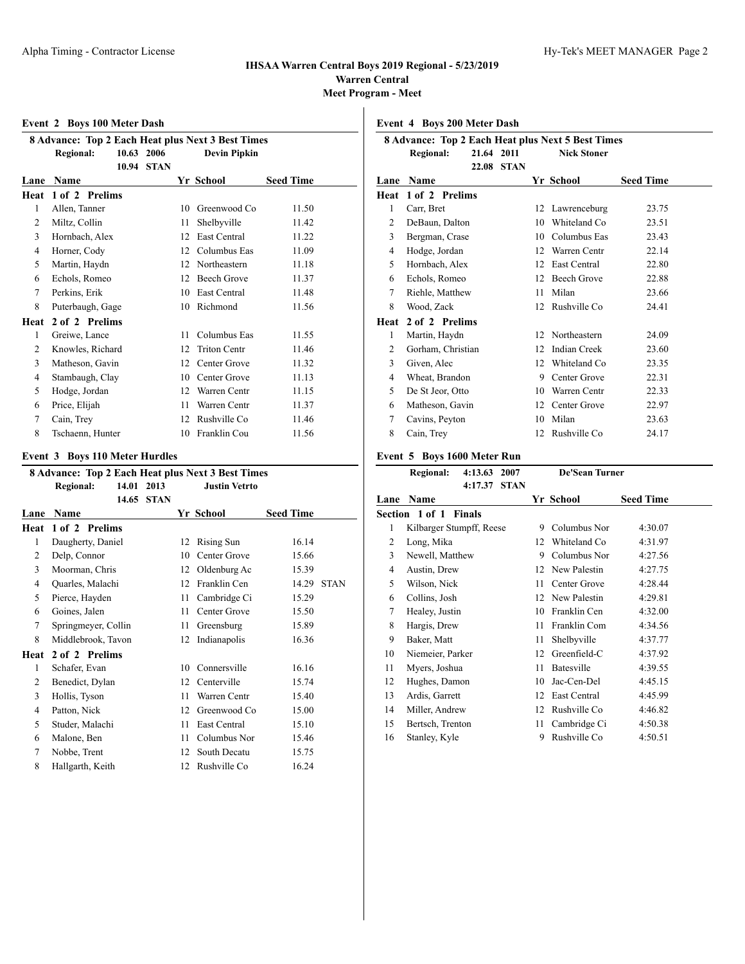# **Event 2 Boys 100 Meter Dash**

| 8 Advance: Top 2 Each Heat plus Next 3 Best Times |                                |    |                     |                  |  |
|---------------------------------------------------|--------------------------------|----|---------------------|------------------|--|
|                                                   | 10.63 2006<br><b>Regional:</b> |    | <b>Devin Pipkin</b> |                  |  |
|                                                   | 10.94<br><b>STAN</b>           |    |                     |                  |  |
| Lane                                              | <b>Name</b>                    |    | Yr School           | <b>Seed Time</b> |  |
| Heat                                              | 1 of 2 Prelims                 |    |                     |                  |  |
| 1                                                 | Allen, Tanner                  | 10 | Greenwood Co        | 11.50            |  |
| 2                                                 | Miltz, Collin                  | 11 | Shelbyville         | 11.42            |  |
| 3                                                 | Hornbach, Alex                 | 12 | <b>East Central</b> | 11.22            |  |
| 4                                                 | Horner, Cody                   | 12 | Columbus Eas        | 11.09            |  |
| 5                                                 | Martin, Haydn                  | 12 | Northeastern        | 11.18            |  |
| 6                                                 | Echols, Romeo                  | 12 | <b>Beech Grove</b>  | 11.37            |  |
| 7                                                 | Perkins, Erik                  | 10 | East Central        | 11.48            |  |
| 8                                                 | Puterbaugh, Gage               | 10 | Richmond            | 11.56            |  |
| Heat                                              | 2 of 2 Prelims                 |    |                     |                  |  |
| 1                                                 | Greiwe, Lance                  | 11 | Columbus Eas        | 11.55            |  |
| 2                                                 | Knowles, Richard               | 12 | <b>Triton Centr</b> | 11.46            |  |
| 3                                                 | Matheson, Gavin                | 12 | Center Grove        | 11.32            |  |
| 4                                                 | Stambaugh, Clay                | 10 | Center Grove        | 11.13            |  |
| 5                                                 | Hodge, Jordan                  | 12 | Warren Centr        | 11.15            |  |
| 6                                                 | Price, Elijah                  | 11 | Warren Centr        | 11.37            |  |
| 7                                                 | Cain, Trey                     | 12 | Rushville Co        | 11.46            |  |
| 8                                                 | Tschaenn, Hunter               | 10 | Franklin Cou        | 11.56            |  |

# **Event 3 Boys 110 Meter Hurdles**

|      | <b>8 Advance: Top 2 Each Heat plus Next 3 Best Times</b> |             |    |                     |                  |             |  |
|------|----------------------------------------------------------|-------------|----|---------------------|------------------|-------------|--|
|      | 14.01<br>Regional:                                       | 2013        |    | Justin Vetrto       |                  |             |  |
|      | 14.65                                                    | <b>STAN</b> |    |                     |                  |             |  |
| Lane | <b>Name</b>                                              |             |    | Yr School           | <b>Seed Time</b> |             |  |
| Heat | 1 of 2 Prelims                                           |             |    |                     |                  |             |  |
| 1    | Daugherty, Daniel                                        |             | 12 | Rising Sun          | 16.14            |             |  |
| 2    | Delp, Connor                                             |             | 10 | Center Grove        | 15.66            |             |  |
| 3    | Moorman, Chris                                           |             | 12 | Oldenburg Ac        | 15.39            |             |  |
| 4    | Quarles, Malachi                                         |             | 12 | Franklin Cen        | 14.29            | <b>STAN</b> |  |
| 5    | Pierce, Hayden                                           |             | 11 | Cambridge Ci        | 15.29            |             |  |
| 6    | Goines, Jalen                                            |             | 11 | Center Grove        | 15.50            |             |  |
| 7    | Springmeyer, Collin                                      |             | 11 | Greensburg          | 15.89            |             |  |
| 8    | Middlebrook, Tavon                                       |             | 12 | Indianapolis        | 16.36            |             |  |
| Heat | 2 of 2 Prelims                                           |             |    |                     |                  |             |  |
| 1    | Schafer, Evan                                            |             | 10 | Connersville        | 16.16            |             |  |
| 2    | Benedict, Dylan                                          |             | 12 | Centerville         | 15.74            |             |  |
| 3    | Hollis, Tyson                                            |             | 11 | Warren Centr        | 15.40            |             |  |
| 4    | Patton, Nick                                             |             | 12 | Greenwood Co        | 15.00            |             |  |
| 5    | Studer, Malachi                                          |             | 11 | <b>East Central</b> | 15.10            |             |  |
| 6    | Malone, Ben                                              |             | 11 | Columbus Nor        | 15.46            |             |  |
| 7    | Nobbe, Trent                                             |             | 12 | South Decatu        | 15.75            |             |  |
| 8    | Hallgarth, Keith                                         |             | 12 | Rushville Co.       | 16.24            |             |  |

# **Event 4 Boys 200 Meter Dash**

| <b>8 Advance: Top 2 Each Heat plus Next 5 Best Times</b> |                                |             |    |                     |                  |
|----------------------------------------------------------|--------------------------------|-------------|----|---------------------|------------------|
|                                                          | 21.64 2011<br><b>Regional:</b> |             |    | <b>Nick Stoner</b>  |                  |
|                                                          | 22.08                          | <b>STAN</b> |    |                     |                  |
| Lane                                                     | Name                           |             |    | Yr School           | <b>Seed Time</b> |
| Heat                                                     | 1 of 2 Prelims                 |             |    |                     |                  |
| 1                                                        | Carr, Bret                     |             |    | 12 Lawrenceburg     | 23.75            |
| 2                                                        | DeBaun, Dalton                 |             | 10 | Whiteland Co.       | 23.51            |
| 3                                                        | Bergman, Crase                 |             | 10 | Columbus Eas        | 23.43            |
| 4                                                        | Hodge, Jordan                  |             | 12 | Warren Centr        | 22.14            |
| 5                                                        | Hornbach, Alex                 |             | 12 | East Central        | 22.80            |
| 6                                                        | Echols, Romeo                  |             | 12 | <b>Beech Grove</b>  | 22.88            |
| 7                                                        | Riehle, Matthew                |             | 11 | Milan               | 23.66            |
| 8                                                        | Wood, Zack                     |             | 12 | Rushville Co        | 24.41            |
| Heat                                                     | 2 of 2 Prelims                 |             |    |                     |                  |
| 1                                                        | Martin, Haydn                  |             | 12 | Northeastern        | 24.09            |
| $\overline{c}$                                           | Gorham, Christian              |             | 12 | <b>Indian Creek</b> | 23.60            |
| 3                                                        | Given, Alec                    |             | 12 | Whiteland Co.       | 23.35            |
| 4                                                        | Wheat, Brandon                 |             | 9  | Center Grove        | 22.31            |
| 5                                                        | De St Jeor, Otto               |             | 10 | Warren Centr        | 22.33            |
| 6                                                        | Matheson, Gavin                |             | 12 | Center Grove        | 22.97            |
| 7                                                        | Cavins, Peyton                 |             | 10 | Milan               | 23.63            |
| 8                                                        | Cain, Trey                     |             | 12 | Rushville Co        | 24.17            |
|                                                          |                                |             |    |                     |                  |

# **Event 5 Boys 1600 Meter Run**

|      | <b>Regional:</b><br>4:13.63<br>2007 |    | <b>De'Sean Turner</b> |                  |
|------|-------------------------------------|----|-----------------------|------------------|
|      | 4:17.37<br><b>STAN</b>              |    |                       |                  |
| Lane | <b>Name</b>                         |    | Yr School             | <b>Seed Time</b> |
|      | <b>Section 1 of 1 Finals</b>        |    |                       |                  |
| 1    | Kilbarger Stumpff, Reese            | 9  | Columbus Nor          | 4:30.07          |
| 2    | Long, Mika                          | 12 | Whiteland Co          | 4:31.97          |
| 3    | Newell, Matthew                     | 9  | Columbus Nor          | 4:27.56          |
| 4    | Austin, Drew                        | 12 | New Palestin          | 4:27.75          |
| 5    | Wilson, Nick                        | 11 | Center Grove          | 4:28.44          |
| 6    | Collins, Josh                       |    | 12 New Palestin       | 4:29.81          |
| 7    | Healey, Justin                      | 10 | Franklin Cen          | 4:32.00          |
| 8    | Hargis, Drew                        | 11 | Franklin Com          | 4:34.56          |
| 9    | Baker, Matt                         | 11 | Shelbyville           | 4:37.77          |
| 10   | Niemeier, Parker                    | 12 | Greenfield-C          | 4:37.92          |
| 11   | Myers, Joshua                       | 11 | Batesville            | 4:39.55          |
| 12   | Hughes, Damon                       | 10 | Jac-Cen-Del           | 4:45.15          |
| 13   | Ardis, Garrett                      | 12 | East Central          | 4:45.99          |
| 14   | Miller, Andrew                      | 12 | Rushville Co          | 4:46.82          |
| 15   | Bertsch, Trenton                    | 11 | Cambridge Ci          | 4:50.38          |
| 16   | Stanley, Kyle                       | 9  | Rushville Co          | 4:50.51          |
|      |                                     |    |                       |                  |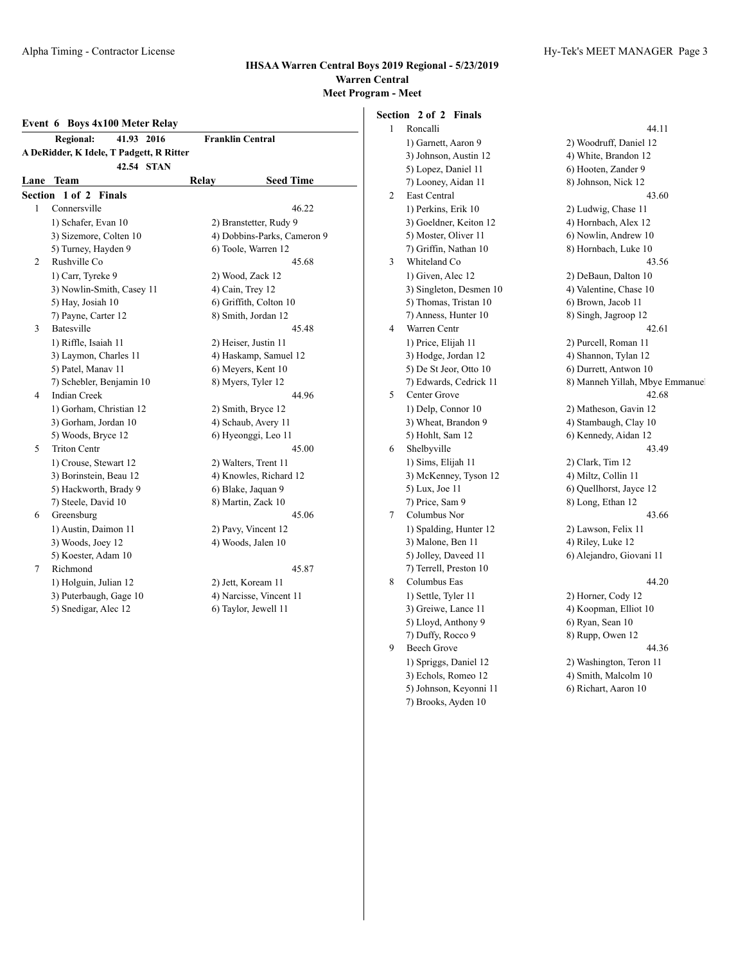#### **Event 6 Boys 4x100 Meter Relay**

|      | <b>Regional:</b><br>41.93 2016           |       | <b>Franklin Central</b>     |
|------|------------------------------------------|-------|-----------------------------|
|      | A DeRidder, K Idele, T Padgett, R Ritter |       |                             |
|      | 42.54 STAN                               |       |                             |
| Lane | Team                                     | Relay | <b>Seed Time</b>            |
|      | Section 1 of 2 Finals                    |       |                             |
| 1    | Connersville                             |       | 46.22                       |
|      | 1) Schafer, Evan 10                      |       | 2) Branstetter, Rudy 9      |
|      | 3) Sizemore, Colten 10                   |       | 4) Dobbins-Parks, Cameron 9 |
|      | 5) Turney, Hayden 9                      |       | 6) Toole, Warren 12         |
| 2    | Rushville Co                             |       | 45.68                       |
|      | 1) Carr, Tyreke 9                        |       | 2) Wood, Zack 12            |
|      | 3) Nowlin-Smith, Casey 11                |       | 4) Cain, Trey 12            |
|      | 5) Hay, Josiah 10                        |       | 6) Griffith, Colton 10      |
|      | 7) Payne, Carter 12                      |       | 8) Smith, Jordan 12         |
| 3    | Batesville                               |       | 45.48                       |
|      | 1) Riffle, Isaiah 11                     |       | 2) Heiser, Justin 11        |
|      | 3) Laymon, Charles 11                    |       | 4) Haskamp, Samuel 12       |
|      | 5) Patel, Manav 11                       |       | 6) Meyers, Kent 10          |
|      | 7) Schebler, Benjamin 10                 |       | 8) Myers, Tyler 12          |
| 4    | <b>Indian Creek</b>                      |       | 44.96                       |
|      | 1) Gorham, Christian 12                  |       | 2) Smith, Bryce 12          |
|      | 3) Gorham, Jordan 10                     |       | 4) Schaub, Avery 11         |
|      | 5) Woods, Bryce 12                       |       | 6) Hyeonggi, Leo 11         |
| 5    | <b>Triton Centr</b>                      |       | 45.00                       |
|      | 1) Crouse, Stewart 12                    |       | 2) Walters, Trent 11        |
|      | 3) Borinstein, Beau 12                   |       | 4) Knowles, Richard 12      |
|      | 5) Hackworth, Brady 9                    |       | 6) Blake, Jaquan 9          |
|      | 7) Steele, David 10                      |       | 8) Martin, Zack 10          |
| 6    | Greensburg                               |       | 45.06                       |
|      | 1) Austin, Daimon 11                     |       | 2) Pavy, Vincent 12         |
|      | 3) Woods, Joey 12                        |       | 4) Woods, Jalen 10          |
|      | 5) Koester, Adam 10                      |       |                             |
| 7    | Richmond                                 |       | 45.87                       |
|      | 1) Holguin, Julian 12                    |       | 2) Jett, Koream 11          |
|      | 3) Puterbaugh, Gage 10                   |       | 4) Narcisse, Vincent 11     |
|      | 5) Snedigar, Alec 12                     |       | 6) Taylor, Jewell 11        |

### **Section 2 of 2 Finals** 1 Roncalli 44.11 1) Garnett, Aaron 9 2) Woodruff, Daniel 12 3) Johnson, Austin 12 4) White, Brandon 12 5) Lopez, Daniel 11 6) Hooten, Zander 9 7) Looney, Aidan 11 8) Johnson, Nick 12 2 East Central 43.60 1) Perkins, Erik 10 2) Ludwig, Chase 11 3) Goeldner, Keiton 12 4) Hornbach, Alex 12 5) Moster, Oliver 11 6) Nowlin, Andrew 10 7) Griffin, Nathan 10 8) Hornbach, Luke 10 3 Whiteland Co 43.56 1) Given, Alec 12 2) DeBaun, Dalton 10 3) Singleton, Desmen 10 4) Valentine, Chase 10 5) Thomas, Tristan 10 6) Brown, Jacob 11 7) Anness, Hunter 10 8) Singh, Jagroop 12

4 Warren Centr 42.61 1) Price, Elijah 11 2) Purcell, Roman 11 3) Hodge, Jordan 12 4) Shannon, Tylan 12 5) De St Jeor, Otto 10 6) Durrett, Antwon 10 7) Edwards, Cedrick 11 8) Manneh Yillah, Mbye Emmanuel 5 Center Grove 42.68 1) Delp, Connor 10 2) Matheson, Gavin 12 3) Wheat, Brandon 9 4) Stambaugh, Clay 10 5) Hohlt, Sam 12 6) Kennedy, Aidan 12 6 Shelbyville 43.49 1) Sims, Elijah 11 2) Clark, Tim 12 3) McKenney, Tyson 12 4) Miltz, Collin 11 5) Lux, Joe 11 6) Quellhorst, Jayce 12 7) Price, Sam 9 8) Long, Ethan 12 7 Columbus Nor 43.66 1) Spalding, Hunter 12 2) Lawson, Felix 11 3) Malone, Ben 11 4) Riley, Luke 12 5) Jolley, Daveed 11 6) Alejandro, Giovani 11 7) Terrell, Preston 10 8 Columbus Eas 44.20 1) Settle, Tyler 11 2) Horner, Cody 12 3) Greiwe, Lance 11 4) Koopman, Elliot 10 5) Lloyd, Anthony 9 6) Ryan, Sean 10 7) Duffy, Rocco 9 8) Rupp, Owen 12

7) Brooks, Ayden 10

- 9 Beech Grove 44.36 1) Spriggs, Daniel 12 2) Washington, Teron 11 3) Echols, Romeo 12 4) Smith, Malcolm 10 5) Johnson, Keyonni 11 6) Richart, Aaron 10
-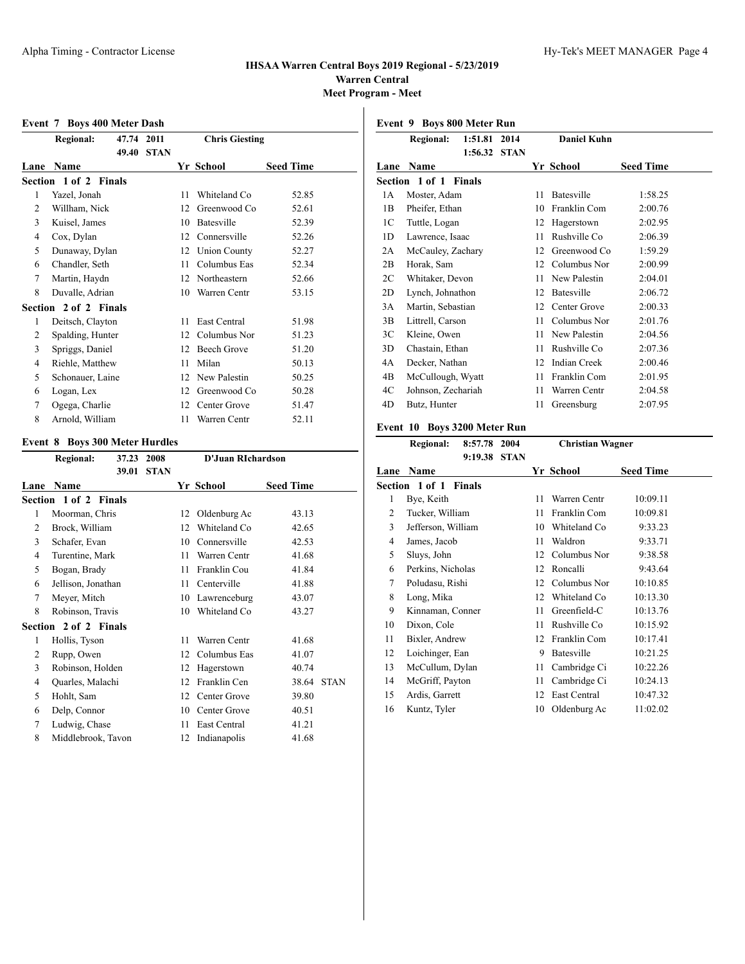**Event 7 Boys 400 Meter Dash**

|                | <b>Regional:</b>      | 47.74 2011 |             |    | <b>Chris Giesting</b> |                  |
|----------------|-----------------------|------------|-------------|----|-----------------------|------------------|
|                |                       | 49.40      | <b>STAN</b> |    |                       |                  |
| Lane           | Name                  |            |             |    | Yr School             | <b>Seed Time</b> |
|                | Section 1 of 2 Finals |            |             |    |                       |                  |
| 1              | Yazel, Jonah          |            |             | 11 | Whiteland Co          | 52.85            |
| $\overline{2}$ | Willham, Nick         |            |             | 12 | Greenwood Co          | 52.61            |
| 3              | Kuisel, James         |            |             | 10 | Batesville            | 52.39            |
| $\overline{4}$ | Cox, Dylan            |            |             | 12 | Connersville          | 52.26            |
| 5              | Dunaway, Dylan        |            |             | 12 | <b>Union County</b>   | 52.27            |
| 6              | Chandler, Seth        |            |             | 11 | Columbus Eas          | 52.34            |
| 7              | Martin, Haydn         |            |             | 12 | Northeastern          | 52.66            |
| 8              | Duvalle, Adrian       |            |             | 10 | Warren Centr          | 53.15            |
|                | Section 2 of 2 Finals |            |             |    |                       |                  |
| 1              | Deitsch, Clayton      |            |             | 11 | East Central          | 51.98            |
| 2              | Spalding, Hunter      |            |             | 12 | Columbus Nor          | 51.23            |
| 3              | Spriggs, Daniel       |            |             | 12 | Beech Grove           | 51.20            |
| $\overline{4}$ | Riehle, Matthew       |            |             | 11 | Milan                 | 50.13            |
| 5              | Schonauer, Laine      |            |             | 12 | New Palestin          | 50.25            |
| 6              | Logan, Lex            |            |             | 12 | Greenwood Co          | 50.28            |
| 7              | Ogega, Charlie        |            |             | 12 | Center Grove          | 51.47            |
| 8              | Arnold, William       |            |             | 11 | Warren Centr          | 52.11            |

# **Event 8 Boys 300 Meter Hurdles**

|                       | <b>Regional:</b>      | 37.23 | 2008        | <b>D'Juan RIchardson</b> |               |                  |             |
|-----------------------|-----------------------|-------|-------------|--------------------------|---------------|------------------|-------------|
|                       |                       | 39.01 | <b>STAN</b> |                          |               |                  |             |
| Lane                  | Name                  |       |             |                          | Yr School     | <b>Seed Time</b> |             |
| Section 1 of 2 Finals |                       |       |             |                          |               |                  |             |
| 1                     | Moorman, Chris        |       |             | 12                       | Oldenburg Ac  | 43.13            |             |
| 2                     | Brock, William        |       |             | 12                       | Whiteland Co. | 42.65            |             |
| 3                     | Schafer, Evan         |       |             | 10                       | Connersville  | 42.53            |             |
| 4                     | Turentine, Mark       |       |             | 11                       | Warren Centr  | 41.68            |             |
| 5                     | Bogan, Brady          |       |             | 11                       | Franklin Cou  | 41.84            |             |
| 6                     | Jellison, Jonathan    |       |             | 11                       | Centerville   | 41.88            |             |
| 7                     | Meyer, Mitch          |       |             | 10                       | Lawrenceburg  | 43.07            |             |
| 8                     | Robinson, Travis      |       |             | 10                       | Whiteland Co. | 43.27            |             |
|                       | Section 2 of 2 Finals |       |             |                          |               |                  |             |
| 1                     | Hollis, Tyson         |       |             | 11                       | Warren Centr  | 41.68            |             |
| 2                     | Rupp, Owen            |       |             | 12                       | Columbus Eas  | 41.07            |             |
| 3                     | Robinson, Holden      |       |             | 12                       | Hagerstown    | 40.74            |             |
| 4                     | Quarles, Malachi      |       |             | 12                       | Franklin Cen  | 38.64            | <b>STAN</b> |
| 5                     | Hohlt, Sam            |       |             | 12                       | Center Grove  | 39.80            |             |
| 6                     | Delp, Connor          |       |             | 10                       | Center Grove  | 40.51            |             |
| 7                     | Ludwig, Chase         |       |             | 11                       | East Central  | 41.21            |             |
| 8                     | Middlebrook, Tavon    |       |             | 12                       | Indianapolis  | 41.68            |             |
|                       |                       |       |             |                          |               |                  |             |

#### **Event 9 Boys 800 Meter Run**

|                | <b>Regional:</b>      | 1:51.81 | 2014        |    | <b>Daniel Kuhn</b> |                  |
|----------------|-----------------------|---------|-------------|----|--------------------|------------------|
|                |                       | 1:56.32 | <b>STAN</b> |    |                    |                  |
| Lane           | Name                  |         |             |    | Yr School          | <b>Seed Time</b> |
|                | Section 1 of 1 Finals |         |             |    |                    |                  |
| 1А             | Moster, Adam          |         |             | 11 | Batesville         | 1:58.25          |
| 1B             | Pheifer, Ethan        |         |             | 10 | Franklin Com       | 2:00.76          |
| 1C             | Tuttle, Logan         |         |             | 12 | Hagerstown         | 2:02.95          |
| 1 <sub>D</sub> | Lawrence, Isaac       |         |             | 11 | Rushville Co       | 2:06.39          |
| 2A             | McCauley, Zachary     |         |             | 12 | Greenwood Co       | 1:59.29          |
| 2B             | Horak, Sam            |         |             | 12 | Columbus Nor       | 2:00.99          |
| 2C             | Whitaker, Devon       |         |             | 11 | New Palestin       | 2:04.01          |
| 2D             | Lynch, Johnathon      |         |             | 12 | Batesville         | 2:06.72          |
| 3A             | Martin, Sebastian     |         |             | 12 | Center Grove       | 2:00.33          |
| 3B             | Littrell, Carson      |         |             | 11 | Columbus Nor       | 2:01.76          |
| 3C             | Kleine, Owen          |         |             | 11 | New Palestin       | 2:04.56          |
| 3D             | Chastain, Ethan       |         |             | 11 | Rushville Co       | 2:07.36          |
| 4A             | Decker, Nathan        |         |             | 12 | Indian Creek       | 2:00.46          |
| 4B             | McCullough, Wyatt     |         |             | 11 | Franklin Com       | 2:01.95          |
| 4C             | Johnson, Zechariah    |         |             | 11 | Warren Centr       | 2:04.58          |
| 4D             | Butz, Hunter          |         |             | 11 | Greensburg         | 2:07.95          |
|                |                       |         |             |    |                    |                  |

# **Event 10 Boys 3200 Meter Run**

|      | <b>Regional:</b>             | 8:57.78 | 2004        | <b>Christian Wagner</b> |              |                  |
|------|------------------------------|---------|-------------|-------------------------|--------------|------------------|
|      |                              | 9:19.38 | <b>STAN</b> |                         |              |                  |
| Lane | <b>Name</b>                  |         |             |                         | Yr School    | <b>Seed Time</b> |
|      | <b>Section 1 of 1 Finals</b> |         |             |                         |              |                  |
| 1    | Bye, Keith                   |         |             | 11                      | Warren Centr | 10:09.11         |
| 2    | Tucker, William              |         |             | 11                      | Franklin Com | 10:09.81         |
| 3    | Jefferson, William           |         |             | 10                      | Whiteland Co | 9:33.23          |
| 4    | James, Jacob                 |         |             | 11                      | Waldron      | 9:33.71          |
| 5    | Sluys, John                  |         |             | 12                      | Columbus Nor | 9:38.58          |
| 6    | Perkins, Nicholas            |         |             | 12                      | Roncalli     | 9:43.64          |
| 7    | Poludasu, Rishi              |         |             | 12                      | Columbus Nor | 10:10.85         |
| 8    | Long, Mika                   |         |             | 12                      | Whiteland Co | 10:13.30         |
| 9    | Kinnaman, Conner             |         |             | 11                      | Greenfield-C | 10:13.76         |
| 10   | Dixon, Cole                  |         |             | 11                      | Rushville Co | 10:15.92         |
| 11   | Bixler, Andrew               |         |             | 12                      | Franklin Com | 10:17.41         |
| 12   | Loichinger, Ean              |         |             | 9                       | Batesville   | 10:21.25         |
| 13   | McCullum, Dylan              |         |             | 11                      | Cambridge Ci | 10:22.26         |
| 14   | McGriff, Payton              |         |             | 11                      | Cambridge Ci | 10:24.13         |
| 15   | Ardis, Garrett               |         |             | 12                      | East Central | 10:47.32         |
| 16   | Kuntz, Tyler                 |         |             | 10                      | Oldenburg Ac | 11:02.02         |
|      |                              |         |             |                         |              |                  |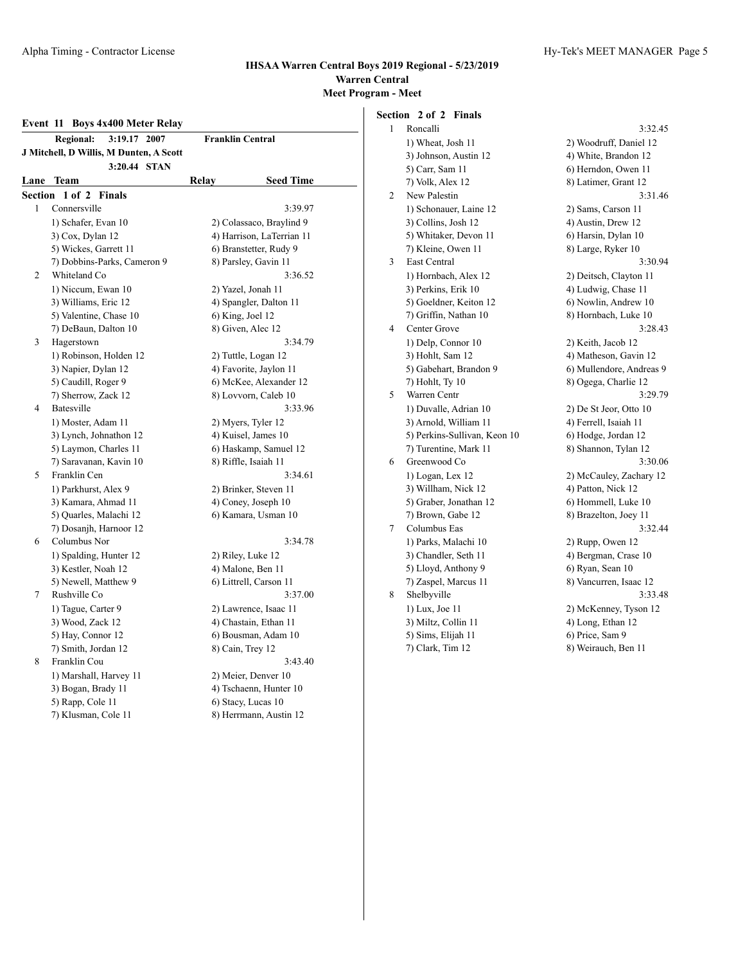### **Event 11 Boys 4x400 Meter Relay**

|                | 3:19.17<br><b>Regional:</b><br>2007     | <b>Franklin Central</b>   |
|----------------|-----------------------------------------|---------------------------|
|                | J Mitchell, D Willis, M Dunten, A Scott |                           |
|                | 3:20.44<br><b>STAN</b>                  |                           |
| Lane           | Team                                    | Relay<br><b>Seed Time</b> |
| Section        | $1$ of $2$<br>Finals                    |                           |
| 1              | Connersville                            | 3:39.97                   |
|                | 1) Schafer, Evan 10                     | 2) Colassaco, Braylind 9  |
|                | 3) Cox, Dylan 12                        | 4) Harrison, LaTerrian 11 |
|                | 5) Wickes, Garrett 11                   | 6) Branstetter, Rudy 9    |
|                | 7) Dobbins-Parks, Cameron 9             | 8) Parsley, Gavin 11      |
| 2              | Whiteland Co                            | 3:36.52                   |
|                | 1) Niccum, Ewan 10                      | 2) Yazel, Jonah 11        |
|                | 3) Williams, Eric 12                    | 4) Spangler, Dalton 11    |
|                | 5) Valentine, Chase 10                  | 6) King, Joel 12          |
|                | 7) DeBaun, Dalton 10                    | 8) Given, Alec 12         |
| 3              | Hagerstown                              | 3:34.79                   |
|                | 1) Robinson, Holden 12                  | 2) Tuttle, Logan 12       |
|                | 3) Napier, Dylan 12                     | 4) Favorite, Jaylon 11    |
|                | 5) Caudill, Roger 9                     | 6) McKee, Alexander 12    |
|                | 7) Sherrow, Zack 12                     | 8) Lovvorn, Caleb 10      |
| $\overline{4}$ | Batesville                              | 3:33.96                   |
|                | 1) Moster, Adam 11                      | 2) Myers, Tyler 12        |
|                | 3) Lynch, Johnathon 12                  | 4) Kuisel, James 10       |
|                | 5) Laymon, Charles 11                   | 6) Haskamp, Samuel 12     |
|                | 7) Saravanan, Kavin 10                  | 8) Riffle, Isaiah 11      |
| 5              | Franklin Cen                            | 3:34.61                   |
|                | 1) Parkhurst, Alex 9                    | 2) Brinker, Steven 11     |
|                | 3) Kamara, Ahmad 11                     | 4) Coney, Joseph 10       |
|                | 5) Quarles, Malachi 12                  | 6) Kamara, Usman 10       |
|                | 7) Dosanjh, Harnoor 12                  |                           |
| 6              | Columbus Nor                            | 3:34.78                   |
|                | 1) Spalding, Hunter 12                  | 2) Riley, Luke 12         |
|                | 3) Kestler, Noah 12                     | 4) Malone, Ben 11         |
|                | 5) Newell, Matthew 9                    | 6) Littrell, Carson 11    |
| 7              | Rushville Co                            | 3:37.00                   |
|                | 1) Tague, Carter 9                      | 2) Lawrence, Isaac 11     |
|                | 3) Wood, Zack 12                        | 4) Chastain, Ethan 11     |
|                | 5) Hay, Connor 12                       | 6) Bousman, Adam 10       |
|                | 7) Smith, Jordan 12                     | 8) Cain, Trey 12          |
| 8              | Franklin Cou                            | 3:43.40                   |
|                | 1) Marshall, Harvey 11                  | 2) Meier, Denver 10       |
|                | 3) Bogan, Brady 11                      | 4) Tschaenn, Hunter 10    |
|                | 5) Rapp, Cole 11                        | 6) Stacy, Lucas 10        |
|                | 7) Klusman, Cole 11                     | 8) Herrmann, Austin 12    |

### **Section 2 of 2 Finals** 1 Roncalli 3:32.45 1) Wheat, Josh 11 2) Woodruff, Daniel 12 3) Johnson, Austin 12 4) White, Brandon 12 5) Carr, Sam 11 6) Herndon, Owen 11 7) Volk, Alex 12 8) Latimer, Grant 12 2 New Palestin 3:31.46 1) Schonauer, Laine 12 2) Sams, Carson 11  $3)$  Collins, Josh 12  $\qquad\qquad\qquad$  4) Austin, Drew 12 5) Whitaker, Devon 11 6) Harsin, Dylan 10 7) Kleine, Owen 11 8) Large, Ryker 10 3 East Central 3:30.94 1) Hornbach, Alex 12 2) Deitsch, Clayton 11 3) Perkins, Erik 10 4) Ludwig, Chase 11 5) Goeldner, Keiton 12 6) Nowlin, Andrew 10 7) Griffin, Nathan 10 8) Hornbach, Luke 10 4 Center Grove 3:28.43 1) Delp, Connor 10 2) Keith, Jacob 12 3) Hohlt, Sam 12 4) Matheson, Gavin 12 5) Gabehart, Brandon 9 6) Mullendore, Andreas 9 7) Hohlt, Ty 10 8) Ogega, Charlie 12 5 Warren Centr 3:29.79 1) Duvalle, Adrian 10 2) De St Jeor, Otto 10 3) Arnold, William 11 4) Ferrell, Isaiah 11 5) Perkins-Sullivan, Keon 10 6) Hodge, Jordan 12 7) Turentine, Mark 11 8) Shannon, Tylan 12 6 Greenwood Co 3:30.06 1) Logan, Lex 12 2) McCauley, Zachary 12 3) Willham, Nick 12 4) Patton, Nick 12 5) Graber, Jonathan 12 6) Hommell, Luke 10 7) Brown, Gabe 12 8) Brazelton, Joey 11 7 Columbus Eas 3:32.44 1) Parks, Malachi 10 2) Rupp, Owen 12 3) Chandler, Seth 11 4) Bergman, Crase 10 5) Lloyd, Anthony 9 6) Ryan, Sean 10 7) Zaspel, Marcus 11 8) Vancurren, Isaac 12 8 Shelbyville 3:33.48 1) Lux, Joe 11 2) McKenney, Tyson 12 3) Miltz, Collin 11 4) Long, Ethan 12 5) Sims, Elijah 11 6) Price, Sam 9

7) Clark, Tim 12 8) Weirauch, Ben 11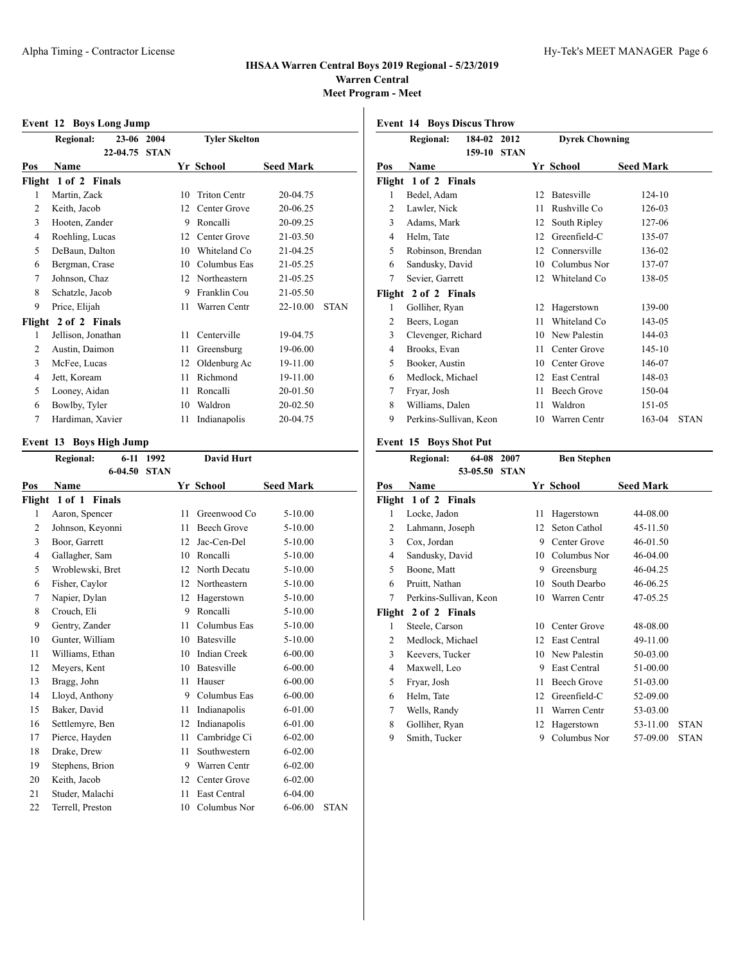#### **Event 12 Boys Long Jump**

|        | <b>Regional:</b><br>$23 - 06$<br>2004 |             |    | <b>Tyler Skelton</b> |                  |             |
|--------|---------------------------------------|-------------|----|----------------------|------------------|-------------|
|        | 22-04.75                              | <b>STAN</b> |    |                      |                  |             |
| Pos    | Name                                  |             |    | Yr School            | <b>Seed Mark</b> |             |
| Flight | 1 of 2 Finals                         |             |    |                      |                  |             |
| 1      | Martin, Zack                          |             | 10 | <b>Triton Centr</b>  | 20-04.75         |             |
| 2      | Keith, Jacob                          |             | 12 | Center Grove         | 20-06.25         |             |
| 3      | Hooten, Zander                        |             | 9  | Roncalli             | 20-09.25         |             |
| 4      | Roehling, Lucas                       |             | 12 | Center Grove         | 21-03.50         |             |
| 5      | DeBaun, Dalton                        |             | 10 | Whiteland Co         | 21-04.25         |             |
| 6      | Bergman, Crase                        |             | 10 | Columbus Eas         | 21-05.25         |             |
| 7      | Johnson, Chaz                         |             | 12 | Northeastern         | 21-05.25         |             |
| 8      | Schatzle, Jacob                       |             | 9  | Franklin Cou         | 21-05.50         |             |
| 9      | Price, Elijah                         |             | 11 | Warren Centr         | 22-10.00         | <b>STAN</b> |
| Flight | 2 of 2 Finals                         |             |    |                      |                  |             |
| 1      | Jellison, Jonathan                    |             | 11 | Centerville          | 19-04.75         |             |
| 2      | Austin, Daimon                        |             | 11 | Greensburg           | 19-06.00         |             |
| 3      | McFee, Lucas                          |             | 12 | Oldenburg Ac         | 19-11.00         |             |
| 4      | Jett, Koream                          |             | 11 | Richmond             | 19-11.00         |             |
| 5      | Looney, Aidan                         |             | 11 | Roncalli             | 20-01.50         |             |
| 6      | Bowlby, Tyler                         |             | 10 | Waldron              | 20-02.50         |             |
| 7      | Hardiman, Xavier                      |             | 11 | Indianapolis         | 20-04.75         |             |

# **Event 13 Boys High Jump**

| $6 - 11$<br>Regional: | 1992        |    | <b>David Hurt</b>   |                  |             |
|-----------------------|-------------|----|---------------------|------------------|-------------|
| $6 - 04.50$           | <b>STAN</b> |    |                     |                  |             |
| Name                  |             |    |                     | <b>Seed Mark</b> |             |
| Flight 1 of 1 Finals  |             |    |                     |                  |             |
| Aaron, Spencer        |             | 11 | Greenwood Co        | $5 - 10.00$      |             |
| Johnson, Keyonni      |             | 11 | <b>Beech Grove</b>  | $5 - 10.00$      |             |
| Boor, Garrett         |             | 12 | Jac-Cen-Del         | $5 - 10.00$      |             |
| Gallagher, Sam        |             | 10 | Roncalli            | $5 - 10.00$      |             |
| Wroblewski, Bret      |             | 12 | North Decatu        | 5-10.00          |             |
| Fisher, Caylor        |             | 12 | Northeastern        | $5-10.00$        |             |
| Napier, Dylan         |             | 12 | Hagerstown          | 5-10.00          |             |
| Crouch, Eli           |             | 9  | Roncalli            | $5 - 10.00$      |             |
| Gentry, Zander        |             | 11 | Columbus Eas        | $5 - 10.00$      |             |
| Gunter, William       |             | 10 | Batesville          | $5 - 10.00$      |             |
| Williams, Ethan       |             | 10 | <b>Indian Creek</b> | $6 - 00.00$      |             |
| Meyers, Kent          |             | 10 | Batesville          | $6 - 00.00$      |             |
| Bragg, John           |             | 11 | Hauser              | $6 - 00.00$      |             |
| Lloyd, Anthony        |             | 9  | Columbus Eas        | $6 - 00.00$      |             |
| Baker, David          |             | 11 | Indianapolis        | 6-01.00          |             |
| Settlemyre, Ben       |             | 12 | Indianapolis        | $6 - 01.00$      |             |
| Pierce, Hayden        |             | 11 | Cambridge Ci        | $6 - 02.00$      |             |
| Drake, Drew           |             | 11 | Southwestern        | $6 - 02.00$      |             |
| Stephens, Brion       |             | 9  | Warren Centr        | $6 - 02.00$      |             |
| Keith, Jacob          |             | 12 | Center Grove        | $6 - 02.00$      |             |
| Studer, Malachi       |             | 11 | East Central        | $6 - 04.00$      |             |
| Terrell, Preston      |             | 10 | Columbus Nor        | $6 - 06.00$      | <b>STAN</b> |
|                       |             |    |                     | Yr School        |             |

# **Event 14 Boys Discus Throw**

|        | <b>Regional:</b>       | 184-02 | 2012        | <b>Dyrek Chowning</b> |                     |                  |             |
|--------|------------------------|--------|-------------|-----------------------|---------------------|------------------|-------------|
|        |                        | 159-10 | <b>STAN</b> |                       |                     |                  |             |
| Pos    | Name                   |        |             |                       | Yr School           | <b>Seed Mark</b> |             |
| Flight | 1 of 2 Finals          |        |             |                       |                     |                  |             |
| 1      | Bedel, Adam            |        |             | 12                    | <b>Batesville</b>   | $124 - 10$       |             |
| 2      | Lawler, Nick           |        |             | 11                    | Rushville Co        | 126-03           |             |
| 3      | Adams, Mark            |        |             | 12                    | South Ripley        | 127-06           |             |
| 4      | Helm, Tate             |        |             | 12                    | Greenfield-C        | 135-07           |             |
| 5      | Robinson, Brendan      |        |             | 12                    | Connersville        | 136-02           |             |
| 6      | Sandusky, David        |        |             | 10                    | Columbus Nor        | 137-07           |             |
| 7      | Sevier, Garrett        |        |             | 12                    | Whiteland Co.       | 138-05           |             |
| Flight | 2 of 2 Finals          |        |             |                       |                     |                  |             |
| 1      | Golliher, Ryan         |        |             | 12                    | Hagerstown          | 139-00           |             |
| 2      | Beers, Logan           |        |             | 11                    | Whiteland Co.       | 143-05           |             |
| 3      | Clevenger, Richard     |        |             | 10                    | New Palestin        | 144-03           |             |
| 4      | Brooks, Evan           |        |             | 11                    | Center Grove        | 145-10           |             |
| 5      | Booker, Austin         |        |             | 10                    | Center Grove        | 146-07           |             |
| 6      | Medlock, Michael       |        |             | 12                    | <b>East Central</b> | 148-03           |             |
| 7      | Fryar, Josh            |        |             | 11                    | <b>Beech Grove</b>  | 150-04           |             |
| 8      | Williams, Dalen        |        |             | 11                    | Waldron             | 151-05           |             |
| 9      | Perkins-Sullivan, Keon |        |             | 10                    | Warren Centr        | 163-04           | <b>STAN</b> |
|        |                        |        |             |                       |                     |                  |             |

# **Event 15 Boys Shot Put**

|        | 64-08<br><b>Regional:</b> | 2007        |    | <b>Ben Stephen</b> |                  |             |
|--------|---------------------------|-------------|----|--------------------|------------------|-------------|
|        | 53-05.50                  | <b>STAN</b> |    |                    |                  |             |
| Pos    | Name                      |             |    | Yr School          | <b>Seed Mark</b> |             |
|        | Flight 1 of 2 Finals      |             |    |                    |                  |             |
| 1      | Locke, Jadon              |             | 11 | Hagerstown         | 44-08.00         |             |
| 2      | Lahmann, Joseph           |             | 12 | Seton Cathol       | 45-11.50         |             |
| 3      | Cox, Jordan               |             | 9  | Center Grove       | 46-01.50         |             |
| 4      | Sandusky, David           |             | 10 | Columbus Nor       | 46-04.00         |             |
| 5      | Boone, Matt               |             | 9  | Greensburg         | 46-04.25         |             |
| 6      | Pruitt, Nathan            |             | 10 | South Dearbo       | 46-06.25         |             |
| 7      | Perkins-Sullivan, Keon    |             | 10 | Warren Centr       | 47-05.25         |             |
| Flight | 2 of 2 Finals             |             |    |                    |                  |             |
| 1      | Steele, Carson            |             | 10 | Center Grove       | 48-08.00         |             |
| 2      | Medlock, Michael          |             | 12 | East Central       | 49-11.00         |             |
| 3      | Keevers, Tucker           |             | 10 | New Palestin       | 50-03.00         |             |
| 4      | Maxwell, Leo              |             | 9  | East Central       | 51-00.00         |             |
| 5      | Fryar, Josh               |             | 11 | <b>Beech Grove</b> | 51-03.00         |             |
| 6      | Helm, Tate                |             | 12 | Greenfield-C       | 52-09.00         |             |
| 7      | Wells, Randy              |             | 11 | Warren Centr       | 53-03.00         |             |
| 8      | Golliher, Ryan            |             | 12 | Hagerstown         | 53-11.00         | <b>STAN</b> |
| 9      | Smith, Tucker             |             | 9  | Columbus Nor       | 57-09.00         | <b>STAN</b> |